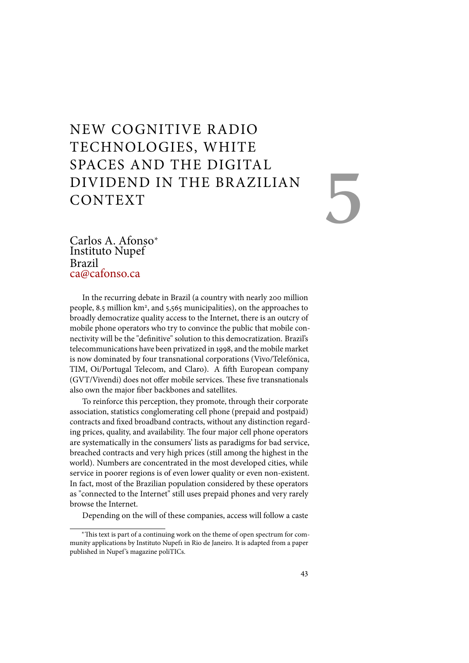# NEW COGNITIVE RADIO TECHNOLOGIES, WHITE SPACES AND THE DIGITAL DIVIDEND IN THE BRAZILIAN CONTEXT

# 5

Carlos A. Afonso<sup>∗</sup> Instituto Nupef Brazil ca@cafonso.ca

In the recurring debate in Brazil (a country with nearly 200 million people, 8.5 million km<sup>2</sup>, and 5,565 municipalities), on the approaches to broadly democratize quality access to the Internet, there is an outcry of mobile phone operators who try to convince the public that mobile connectivity will be the "definitive" solution to this democratization. Brazil's telecommunications have been privatized in 1998, and the mobile market is now dominated by four transnational corporations (Vivo/Telefónica, TIM, Oi/Portugal Telecom, and Claro). A fifth European company (GVT/Vivendi) does not offer mobile services. These five transnationals also own the major fiber backbones and satellites.

To reinforce this perception, they promote, through their corporate association, statistics conglomerating cell phone (prepaid and postpaid) contracts and fixed broadband contracts, without any distinction regarding prices, quality, and availability. The four major cell phone operators are systematically in the consumers' lists as paradigms for bad service, breached contracts and very high prices (still among the highest in the world). Numbers are concentrated in the most developed cities, while service in poorer regions is of even lower quality or even non-existent. In fact, most of the Brazilian population considered by these operators as "connected to the Internet" still uses prepaid phones and very rarely browse the Internet.

Depending on the will of these companies, access will follow a caste

<sup>∗</sup>!is text is part of a continuing work on the theme of open spectrum for community applications by Instituto Nupef1 in Rio de Janeiro. It is adapted from a paper published in Nupef 's magazine poliTICs.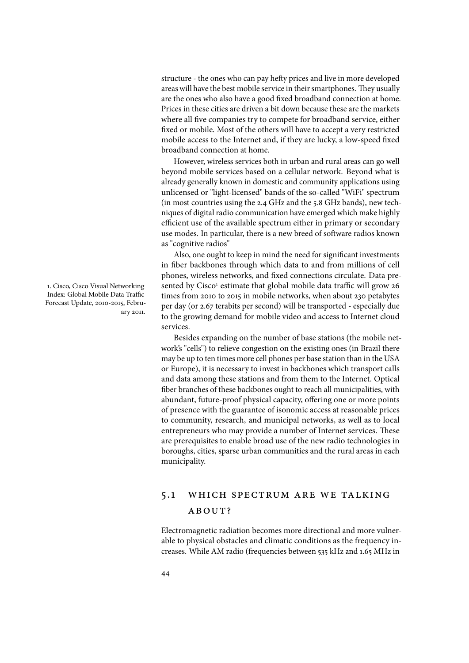structure - the ones who can pay hefty prices and live in more developed areas will have the best mobile service in their smartphones. They usually are the ones who also have a good fixed broadband connection at home. Prices in these cities are driven a bit down because these are the markets where all five companies try to compete for broadband service, either fixed or mobile. Most of the others will have to accept a very restricted mobile access to the Internet and, if they are lucky, a low-speed fixed broadband connection at home.

However, wireless services both in urban and rural areas can go well beyond mobile services based on a cellular network. Beyond what is already generally known in domestic and community applications using unlicensed or "light-licensed" bands of the so-called "WiFi" spectrum (in most countries using the 2.4 GHz and the 5.8 GHz bands), new techniques of digital radio communication have emerged which make highly efficient use of the available spectrum either in primary or secondary use modes. In particular, there is a new breed of software radios known as "cognitive radios"

Also, one ought to keep in mind the need for significant investments in fiber backbones through which data to and from millions of cell phones, wireless networks, and fixed connections circulate. Data presented by Cisco<sup>1</sup> estimate that global mobile data traffic will grow 26 times from 2010 to 2015 in mobile networks, when about 230 petabytes per day (or 2.67 terabits per second) will be transported - especially due to the growing demand for mobile video and access to Internet cloud services.

Besides expanding on the number of base stations (the mobile network's "cells") to relieve congestion on the existing ones (in Brazil there may be up to ten times more cell phones per base station than in the USA or Europe), it is necessary to invest in backbones which transport calls and data among these stations and from them to the Internet. Optical fiber branches of these backbones ought to reach all municipalities, with abundant, future-proof physical capacity, offering one or more points of presence with the guarantee of isonomic access at reasonable prices to community, research, and municipal networks, as well as to local entrepreneurs who may provide a number of Internet services. These are prerequisites to enable broad use of the new radio technologies in boroughs, cities, sparse urban communities and the rural areas in each municipality.

# 5.1 which spectrum are we talking ABOUT?

Electromagnetic radiation becomes more directional and more vulnerable to physical obstacles and climatic conditions as the frequency increases. While AM radio (frequencies between 535 kHz and 1.65 MHz in

1. Cisco, Cisco Visual Networking Index: Global Mobile Data Traffic Forecast Update, 2010-2015, February 2011.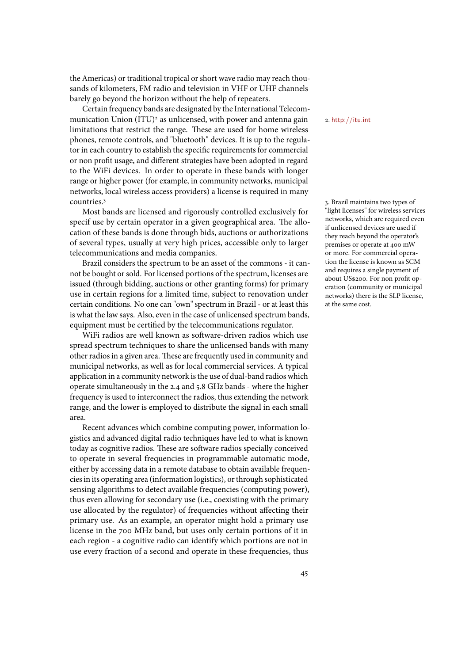the Americas) or traditional tropical or short wave radio may reach thousands of kilometers, FM radio and television in VHF or UHF channels barely go beyond the horizon without the help of repeaters.

Certain frequency bands are designated by the International Telecommunication Union (ITU)<sup>2</sup> as unlicensed, with power and antenna gain  $\frac{2. \text{http://itu.int}}{2. \text{http://itu.int}}$ limitations that restrict the range. These are used for home wireless phones, remote controls, and "bluetooth" devices. It is up to the regulator in each country to establish the specific requirements for commercial or non profit usage, and different strategies have been adopted in regard to the WiFi devices. In order to operate in these bands with longer range or higher power (for example, in community networks, municipal networks, local wireless access providers) a license is required in many countries.<sup>3</sup> 3. Brazil maintains two types of

Most bands are licensed and rigorously controlled exclusively for specif use by certain operator in a given geographical area. The allocation of these bands is done through bids, auctions or authorizations of several types, usually at very high prices, accessible only to larger telecommunications and media companies.

Brazil considers the spectrum to be an asset of the commons - it cannot be bought or sold. For licensed portions of the spectrum, licenses are issued (through bidding, auctions or other granting forms) for primary use in certain regions for a limited time, subject to renovation under certain conditions. No one can "own" spectrum in Brazil - or at least this is what the law says. Also, even in the case of unlicensed spectrum bands, equipment must be certified by the telecommunications regulator.

WiFi radios are well known as software-driven radios which use spread spectrum techniques to share the unlicensed bands with many other radios in a given area. These are frequently used in community and municipal networks, as well as for local commercial services. A typical application in a community network is the use of dual-band radios which operate simultaneously in the 2.4 and 5.8 GHz bands - where the higher frequency is used to interconnect the radios, thus extending the network range, and the lower is employed to distribute the signal in each small area.

Recent advances which combine computing power, information logistics and advanced digital radio techniques have led to what is known today as cognitive radios. These are software radios specially conceived to operate in several frequencies in programmable automatic mode, either by accessing data in a remote database to obtain available frequencies in its operating area (information logistics), or through sophisticated sensing algorithms to detect available frequencies (computing power), thus even allowing for secondary use (i.e., coexisting with the primary use allocated by the regulator) of frequencies without affecting their primary use. As an example, an operator might hold a primary use license in the 700 MHz band, but uses only certain portions of it in each region - a cognitive radio can identify which portions are not in use every fraction of a second and operate in these frequencies, thus

"light licenses" for wireless services networks, which are required even if unlicensed devices are used if they reach beyond the operator's premises or operate at 400 mW or more. For commercial operation the license is known as SCM and requires a single payment of about US\$200. For non profit operation (community or municipal networks) there is the SLP license, at the same cost.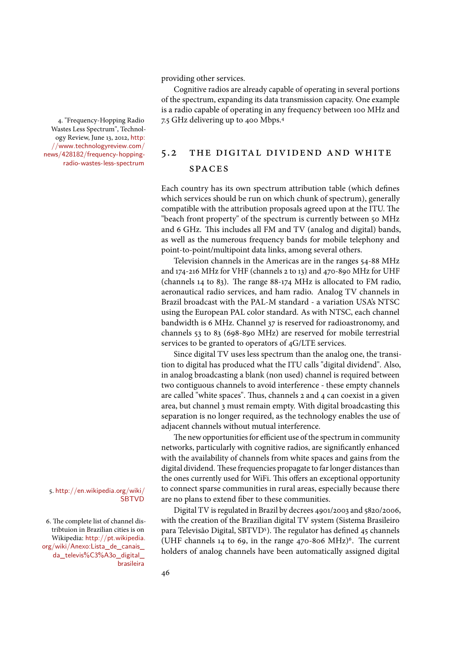providing other services.

Cognitive radios are already capable of operating in several portions of the spectrum, expanding its data transmission capacity. One example is a radio capable of operating in any frequency between 100 MHz and 4. "Frequency-Hopping Radio 7.5 GHz delivering up to 400 Mbps.<sup>4</sup>

Wastes Less Spectrum", Technology Review, June 13, 2012, http: //www.technologyreview.com/ news/428182/frequency-hoppingradio-wastes-less-spectrum

# 5.2 the digital dividend and white **SPACES**

Each country has its own spectrum attribution table (which defines which services should be run on which chunk of spectrum), generally compatible with the attribution proposals agreed upon at the ITU. The "beach front property" of the spectrum is currently between 50 MHz and 6 GHz. This includes all FM and TV (analog and digital) bands, as well as the numerous frequency bands for mobile telephony and point-to-point/multipoint data links, among several others.

Television channels in the Americas are in the ranges 54-88 MHz and 174-216 MHz for VHF (channels 2 to 13) and 470-890 MHz for UHF (channels 14 to 83). The range  $88-174$  MHz is allocated to FM radio, aeronautical radio services, and ham radio. Analog TV channels in Brazil broadcast with the PAL-M standard - a variation USA's NTSC using the European PAL color standard. As with NTSC, each channel bandwidth is 6 MHz. Channel 37 is reserved for radioastronomy, and channels 53 to 83 (698-890 MHz) are reserved for mobile terrestrial services to be granted to operators of 4G/LTE services.

Since digital TV uses less spectrum than the analog one, the transition to digital has produced what the ITU calls "digital dividend". Also, in analog broadcasting a blank (non used) channel is required between two contiguous channels to avoid interference - these empty channels are called "white spaces". Thus, channels  $2$  and  $4$  can coexist in a given area, but channel 3 must remain empty. With digital broadcasting this separation is no longer required, as the technology enables the use of adjacent channels without mutual interference.

The new opportunities for efficient use of the spectrum in community networks, particularly with cognitive radios, are significantly enhanced with the availability of channels from white spaces and gains from the digital dividend. These frequencies propagate to far longer distances than the ones currently used for WiFi. This offers an exceptional opportunity to connect sparse communities in rural areas, especially because there are no plans to extend fiber to these communities.

Digital TV is regulated in Brazil by decrees 4901/2003 and 5820/2006, with the creation of the Brazilian digital TV system (Sistema Brasileiro para Televisão Digital, SBTVD<sup>5</sup>). The regulator has defined 45 channels (UHF channels 14 to 69, in the range 470-806 MHz)<sup>6</sup>. The current holders of analog channels have been automatically assigned digital

# 5. http://en.wikipedia.org/wiki/ **SBTVD**

6. The complete list of channel distribtuion in Brazilian cities is on Wikipedia: http://pt.wikipedia. org/wiki/Anexo:Lista\_de\_canais\_ da\_televis%C3%A3o\_digital\_ brasileira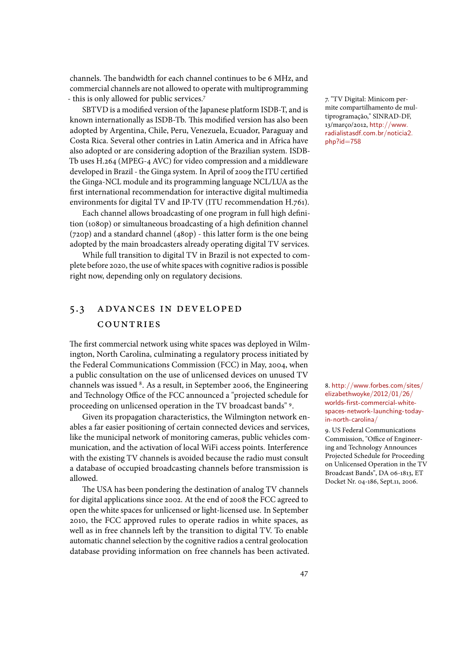channels. The bandwidth for each channel continues to be 6 MHz, and commercial channels are not allowed to operate with multiprogramming - this is only allowed for public services.<sup>7</sup> 7. "TV Digital: Minicom per-

SBTVD is a modified version of the Japanese platform ISDB-T, and is known internationally as ISDB-Tb. This modified version has also been adopted by Argentina, Chile, Peru, Venezuela, Ecuador, Paraguay and Costa Rica. Several other contries in Latin America and in Africa have also adopted or are considering adoption of the Brazilian system. ISDB-Tb uses H.264 (MPEG-4 AVC) for video compression and a middleware developed in Brazil - the Ginga system. In April of 2009 the ITU certified the Ginga-NCL module and its programming language NCL/LUA as the first international recommendation for interactive digital multimedia environments for digital TV and IP-TV (ITU recommendation H.761).

Each channel allows broadcasting of one program in full high definition (1080p) or simultaneous broadcasting of a high definition channel (720p) and a standard channel (480p) - this latter form is the one being adopted by the main broadcasters already operating digital TV services.

While full transition to digital TV in Brazil is not expected to complete before 2020, the use of white spaces with cognitive radios is possible right now, depending only on regulatory decisions.

# 5.3 advances in developed **COUNTRIES**

The first commercial network using white spaces was deployed in Wilmington, North Carolina, culminating a regulatory process initiated by the Federal Communications Commission (FCC) in May, 2004, when a public consultation on the use of unlicensed devices on unused TV channels was issued <sup>8</sup>. As a result, in September 2006, the Engineering and actual orders.com/sites/ and Technology Office of the FCC announced a "projected schedule for proceeding on unlicensed operation in the TV broadcast bands" <sup>9</sup> .

Given its propagation characteristics, the Wilmington network enables a far easier positioning of certain connected devices and services, like the municipal network of monitoring cameras, public vehicles communication, and the activation of local WiFi access points. Interference with the existing TV channels is avoided because the radio must consult a database of occupied broadcasting channels before transmission is allowed.

The USA has been pondering the destination of analog TV channels for digital applications since 2002. At the end of 2008 the FCC agreed to open the white spaces for unlicensed or light-licensed use. In September 2010, the FCC approved rules to operate radios in white spaces, as well as in free channels left by the transition to digital TV. To enable automatic channel selection by the cognitive radios a central geolocation database providing information on free channels has been activated. mite compartilhamento de multiprogramação," SINRAD-DF, 13/março/2012, http://www. radialistasdf.com.br/noticia2. php?id=758

elizabethwoyke/2012/01/26/ worlds-first-commercial-whitespaces-network-launching-todayin-north-carolina/

9. US Federal Communications Commission, "Office of Engineering and Technology Announces Projected Schedule for Proceeding on Unlicensed Operation in the TV Broadcast Bands", DA 06-1813, ET Docket Nr. 04-186, Sept.11, 2006.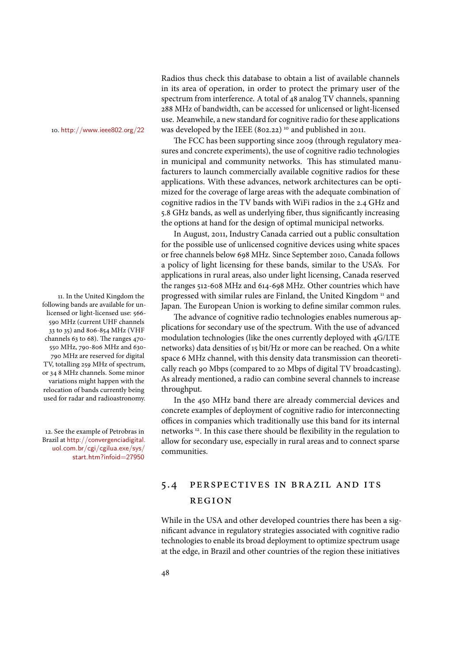following bands are available for unlicensed or light-licensed use: 566- 590 MHz (current UHF channels 33 to 35) and 806-854 MHz (VHF channels 63 to 68). The ranges 470-550 MHz, 790-806 MHz and 630- 790 MHz are reserved for digital TV, totalling 259 MHz of spectrum, or 34 8 MHz channels. Some minor variations might happen with the relocation of bands currently being used for radar and radioastronomy.

12. See the example of Petrobras in Brazil at http://convergenciadigital. uol.com.br/cgi/cgilua.exe/sys/ start.htm?infoid=27950

Radios thus check this database to obtain a list of available channels in its area of operation, in order to protect the primary user of the spectrum from interference. A total of 48 analog TV channels, spanning 288 MHz of bandwidth, can be accessed for unlicensed or light-licensed use. Meanwhile, a new standard for cognitive radio for these applications 10. http://www.ieee802.org/22 was developed by the IEEE (802.22) <sup>10</sup> and published in 2011.

> The FCC has been supporting since 2009 (through regulatory measures and concrete experiments), the use of cognitive radio technologies in municipal and community networks. This has stimulated manufacturers to launch commercially available cognitive radios for these applications. With these advances, network architectures can be optimized for the coverage of large areas with the adequate combination of cognitive radios in the TV bands with WiFi radios in the 2.4 GHz and 5.8 GHz bands, as well as underlying fiber, thus significantly increasing the options at hand for the design of optimal municipal networks.

In August, 2011, Industry Canada carried out a public consultation for the possible use of unlicensed cognitive devices using white spaces or free channels below 698 MHz. Since September 2010, Canada follows a policy of light licensing for these bands, similar to the USA's. For applications in rural areas, also under light licensing, Canada reserved the ranges 512-608 MHz and 614-698 MHz. Other countries which have 11. In the United Kingdom the  $\qquad$  progressed with similar rules are Finland, the United Kingdom  $^{\rm n}$  and Japan. The European Union is working to define similar common rules.

The advance of cognitive radio technologies enables numerous applications for secondary use of the spectrum. With the use of advanced modulation technologies (like the ones currently deployed with 4G/LTE networks) data densities of 15 bit/Hz or more can be reached. On a white space 6 MHz channel, with this density data transmission can theoretically reach 90 Mbps (compared to 20 Mbps of digital TV broadcasting). As already mentioned, a radio can combine several channels to increase throughput.

In the 450 MHz band there are already commercial devices and concrete examples of deployment of cognitive radio for interconnecting offices in companies which traditionally use this band for its internal networks<sup>12</sup>. In this case there should be flexibility in the regulation to allow for secondary use, especially in rural areas and to connect sparse communities.

# 5.4 perspectives in brazil and its region

While in the USA and other developed countries there has been a significant advance in regulatory strategies associated with cognitive radio technologies to enable its broad deployment to optimize spectrum usage at the edge, in Brazil and other countries of the region these initiatives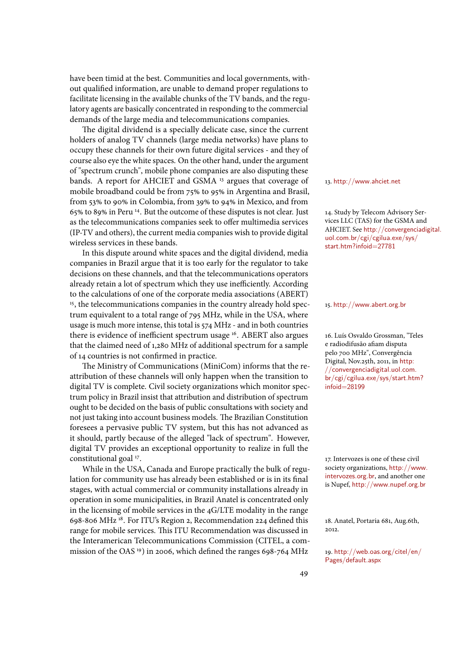have been timid at the best. Communities and local governments, without qualified information, are unable to demand proper regulations to facilitate licensing in the available chunks of the TV bands, and the regulatory agents are basically concentrated in responding to the commercial demands of the large media and telecommunications companies.

The digital dividend is a specially delicate case, since the current holders of analog TV channels (large media networks) have plans to occupy these channels for their own future digital services - and they of course also eye the white spaces. On the other hand, under the argument of "spectrum crunch", mobile phone companies are also disputing these bands. A report for AHCIET and GSMA<sup>13</sup> argues that coverage of 13. http://www.ahciet.net mobile broadband could be from 75% to 95% in Argentina and Brasil, from 53% to 90% in Colombia, from 39% to 94% in Mexico, and from 65% to 89% in Peru <sup>14</sup>. But the outcome of these disputes is not clear. Just 14. Study by Telecom Advisory Seras the telecommunications companies seek to offer multimedia services (IP-TV and others), the current media companies wish to provide digital wireless services in these bands.

In this dispute around white spaces and the digital dividend, media companies in Brazil argue that it is too early for the regulator to take decisions on these channels, and that the telecommunications operators already retain a lot of spectrum which they use inefficiently. According to the calculations of one of the corporate media associations (ABERT) <sup>15</sup>, the telecommunications companies in the country already hold spec- 15. http://www.abert.org.br trum equivalent to a total range of 795 MHz, while in the USA, where usage is much more intense, this total is 574 MHz - and in both countries there is evidence of inefficient spectrum usage <sup>16</sup>. ABERT also argues 16. Luís Osvaldo Grossman, "Teles that the claimed need of 1,280 MHz of additional spectrum for a sample of 14 countries is not confirmed in practice.

The Ministry of Communications (MiniCom) informs that the reattribution of these channels will only happen when the transition to digital TV is complete. Civil society organizations which monitor spectrum policy in Brazil insist that attribution and distribution of spectrum ought to be decided on the basis of public consultations with society and not just taking into account business models. The Brazilian Constitution foresees a pervasive public TV system, but this has not advanced as it should, partly because of the alleged "lack of spectrum". However, digital TV provides an exceptional opportunity to realize in full the constitutional goal<sup>17</sup>.

While in the USA, Canada and Europe practically the bulk of regulation for community use has already been established or is in its final stages, with actual commercial or community installations already in operation in some municipalities, in Brazil Anatel is concentrated only in the licensing of mobile services in the 4G/LTE modality in the range 698-806 MHz<sup>18</sup>. For ITU's Region 2, Recommendation 224 defined this 18. Anatel, Portaria 681, Aug.6th, range for mobile services. This ITU Recommendation was discussed in the Interamerican Telecommunications Commission (CITEL, a commission of the OAS 19) in 2006, which defined the ranges 698-764 MHz  $\quad$  19. http://web.oas.org/citel/en/

vices LLC (TAS) for the GSMA and AHCIET. See http://convergenciadigital. uol.com.br/cgi/cgilua.exe/sys/ start.htm?infoid=27781

e radiodifusão afiam disputa pelo 700 MHz", Convergěncia Digital, Nov.25th, 2011, in http: //convergenciadigital.uol.com. br/cgi/cgilua.exe/sys/start.htm? infoid=28199

17. Intervozes is one of these civil society organizations, http://www. intervozes.org.br, and another one is Nupef, http://www.nupef.org.br

 $2012.$ 

Pages/default.aspx